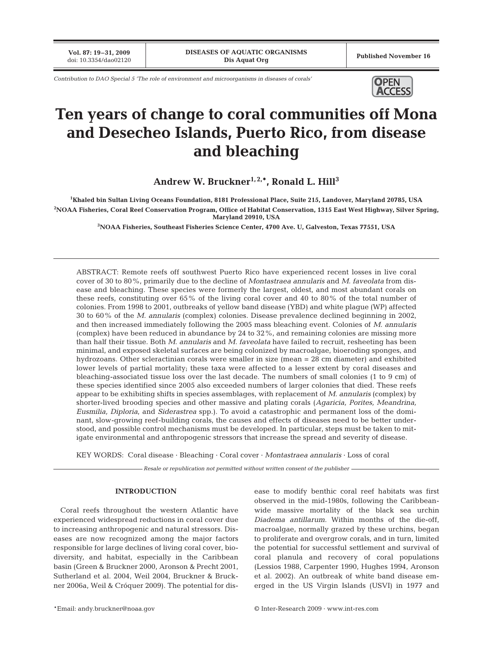**Vol. 87: 19–31, 2009**

*Contribution to DAO Special 5 'The role of environment and microorganisms in diseases of corals'* **OPEN** 



# **Ten years of change to coral communities off Mona and Desecheo Islands, Puerto Rico, from disease and bleaching**

Andrew W. Bruckner<sup>1, 2,\*</sup>, Ronald L. Hill<sup>3</sup>

**1 Khaled bin Sultan Living Oceans Foundation, 8181 Professional Place, Suite 215, Landover, Maryland 20785, USA 2 NOAA Fisheries, Coral Reef Conservation Program, Office of Habitat Conservation, 1315 East West Highway, Silver Spring, Maryland 20910, USA**

**3 NOAA Fisheries, Southeast Fisheries Science Center, 4700 Ave. U, Galveston, Texas 77551, USA**

ABSTRACT: Remote reefs off southwest Puerto Rico have experienced recent losses in live coral cover of 30 to 80%, primarily due to the decline of *Montastraea annularis* and *M. faveolata* from disease and bleaching. These species were formerly the largest, oldest, and most abundant corals on these reefs, constituting over 65% of the living coral cover and 40 to 80% of the total number of colonies. From 1998 to 2001, outbreaks of yellow band disease (YBD) and white plague (WP) affected 30 to 60% of the *M. annularis* (complex) colonies. Disease prevalence declined beginning in 2002, and then increased immediately following the 2005 mass bleaching event. Colonies of *M. annularis* (complex) have been reduced in abundance by 24 to 32%, and remaining colonies are missing more than half their tissue. Both *M. annularis* and *M. faveolata* have failed to recruit, resheeting has been minimal, and exposed skeletal surfaces are being colonized by macroalgae, bioeroding sponges, and hydrozoans. Other scleractinian corals were smaller in size (mean = 28 cm diameter) and exhibited lower levels of partial mortality; these taxa were affected to a lesser extent by coral diseases and bleaching-associated tissue loss over the last decade. The numbers of small colonies (1 to 9 cm) of these species identified since 2005 also exceeded numbers of larger colonies that died. These reefs appear to be exhibiting shifts in species assemblages, with replacement of *M. annularis* (complex) by shorter-lived brooding species and other massive and plating corals (*Agaricia, Porites, Meandrina, Eusmilia, Diploria*, and *Siderastrea* spp.). To avoid a catastrophic and permanent loss of the dominant, slow-growing reef-building corals, the causes and effects of diseases need to be better understood, and possible control mechanisms must be developed. In particular, steps must be taken to mitigate environmental and anthropogenic stressors that increase the spread and severity of disease.

KEY WORDS: Coral disease · Bleaching · Coral cover · *Montastraea annularis* · Loss of coral

*Resale or republication not permitted without written consent of the publisher*

#### **INTRODUCTION**

Coral reefs throughout the western Atlantic have experienced widespread reductions in coral cover due to increasing anthropogenic and natural stressors. Diseases are now recognized among the major factors responsible for large declines of living coral cover, biodiversity, and habitat, especially in the Caribbean basin (Green & Bruckner 2000, Aronson & Precht 2001, Sutherland et al. 2004, Weil 2004, Bruckner & Bruckner 2006a, Weil & Cróquer 2009). The potential for disease to modify benthic coral reef habitats was first observed in the mid-1980s, following the Caribbeanwide massive mortality of the black sea urchin *Diadema antillarum.* Within months of the die-off, macroalgae, normally grazed by these urchins, began to proliferate and overgrow corals, and in turn, limited the potential for successful settlement and survival of coral planula and recovery of coral populations (Lessios 1988, Carpenter 1990, Hughes 1994, Aronson et al. 2002). An outbreak of white band disease emerged in the US Virgin Islands (USVI) in 1977 and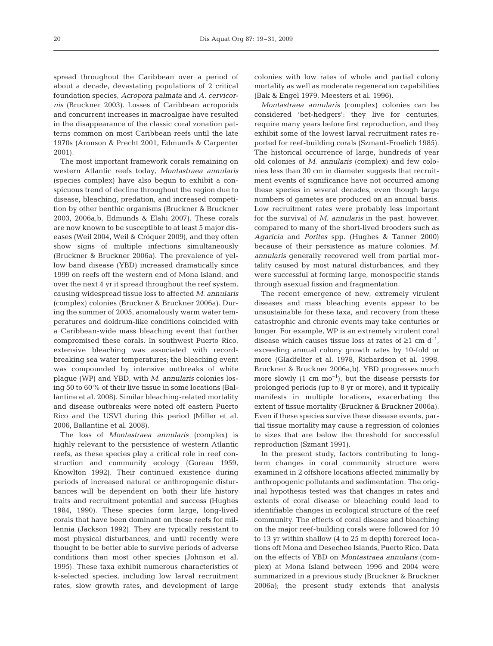spread throughout the Caribbean over a period of about a decade, devastating populations of 2 critical foundation species, *Acropora palmata* and *A. cervicornis* (Bruckner 2003). Losses of Caribbean acroporids and concurrent increases in macroalgae have resulted in the disappearance of the classic coral zonation patterns common on most Caribbean reefs until the late 1970s (Aronson & Precht 2001, Edmunds & Carpenter 2001).

The most important framework corals remaining on western Atlantic reefs today, *Montastraea annularis* (species complex) have also begun to exhibit a conspicuous trend of decline throughout the region due to disease, bleaching, predation, and increased competition by other benthic organisms (Bruckner & Bruckner 2003, 2006a,b, Edmunds & Elahi 2007). These corals are now known to be susceptible to at least 5 major diseases (Weil 2004, Weil & Cróquer 2009), and they often show signs of multiple infections simultaneously (Bruckner & Bruckner 2006a). The prevalence of yellow band disease (YBD) increased dramatically since 1999 on reefs off the western end of Mona Island, and over the next 4 yr it spread throughout the reef system, causing widespread tissue loss to affected *M. annularis* (complex) colonies (Bruckner & Bruckner 2006a). During the summer of 2005, anomalously warm water temperatures and doldrum-like conditions coincided with a Caribbean-wide mass bleaching event that further compromised these corals. In southwest Puerto Rico, extensive bleaching was associated with recordbreaking sea water temperatures; the bleaching event was compounded by intensive outbreaks of white plague (WP) and YBD, with *M. annularis* colonies losing 50 to 60% of their live tissue in some locations (Ballantine et al. 2008). Similar bleaching-related mortality and disease outbreaks were noted off eastern Puerto Rico and the USVI during this period (Miller et al. 2006, Ballantine et al. 2008).

The loss of *Montastraea annularis* (complex) is highly relevant to the persistence of western Atlantic reefs, as these species play a critical role in reef construction and community ecology (Goreau 1959, Knowlton 1992). Their continued existence during periods of increased natural or anthropogenic disturbances will be dependent on both their life history traits and recruitment potential and success (Hughes 1984, 1990). These species form large, long-lived corals that have been dominant on these reefs for millennia (Jackson 1992). They are typically resistant to most physical disturbances, and until recently were thought to be better able to survive periods of adverse conditions than most other species (Johnson et al. 1995). These taxa exhibit numerous characteristics of k-selected species, including low larval recruitment rates, slow growth rates, and development of large

colonies with low rates of whole and partial colony mortality as well as moderate regeneration capabilities (Bak & Engel 1979, Meesters et al. 1996).

*Montastraea annularis* (complex) colonies can be considered 'bet-hedgers': they live for centuries, require many years before first reproduction, and they exhibit some of the lowest larval recruitment rates reported for reef-building corals (Szmant-Froelich 1985). The historical occurrence of large, hundreds of year old colonies of *M. annularis* (complex) and few colonies less than 30 cm in diameter suggests that recruitment events of significance have not occurred among these species in several decades, even though large numbers of gametes are produced on an annual basis. Low recruitment rates were probably less important for the survival of *M. annularis* in the past, however, compared to many of the short-lived brooders such as *Agaricia* and *Porites* spp. (Hughes & Tanner 2000) because of their persistence as mature colonies. *M. annularis* generally recovered well from partial mortality caused by most natural disturbances, and they were successful at forming large, monospecific stands through asexual fission and fragmentation.

The recent emergence of new, extremely virulent diseases and mass bleaching events appear to be unsustainable for these taxa, and recovery from these catastrophic and chronic events may take centuries or longer. For example, WP is an extremely virulent coral disease which causes tissue loss at rates of  $\geq 1$  cm d<sup>-1</sup>, exceeding annual colony growth rates by 10-fold or more (Gladfelter et al. 1978, Richardson et al. 1998, Bruckner & Bruckner 2006a,b). YBD progresses much more slowly  $(1 \text{ cm } \text{mo}^{-1})$ , but the disease persists for prolonged periods (up to 8 yr or more), and it typically manifests in multiple locations, exacerbating the extent of tissue mortality (Bruckner & Bruckner 2006a). Even if these species survive these disease events, partial tissue mortality may cause a regression of colonies to sizes that are below the threshold for successful reproduction (Szmant 1991).

In the present study, factors contributing to longterm changes in coral community structure were examined in 2 offshore locations affected minimally by anthropogenic pollutants and sedimentation. The original hypothesis tested was that changes in rates and extents of coral disease or bleaching could lead to identifiable changes in ecological structure of the reef community. The effects of coral disease and bleaching on the major reef-building corals were followed for 10 to 13 yr within shallow (4 to 25 m depth) forereef locations off Mona and Desecheo Islands, Puerto Rico. Data on the effects of YBD on *Montastraea annularis* (complex) at Mona Island between 1996 and 2004 were summarized in a previous study (Bruckner & Bruckner 2006a); the present study extends that analysis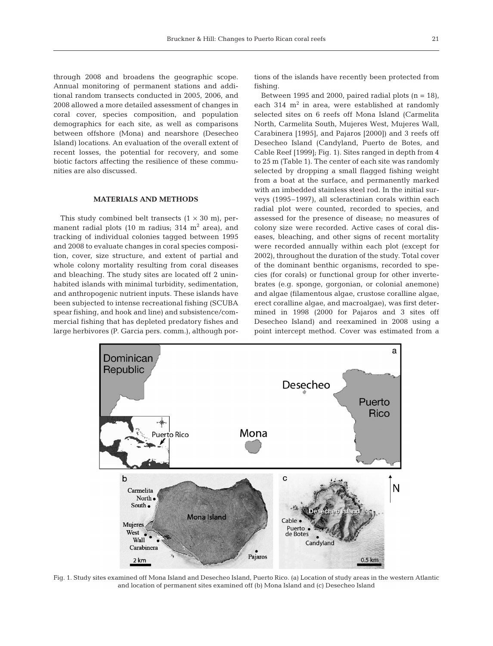through 2008 and broadens the geographic scope. Annual monitoring of permanent stations and additional random transects conducted in 2005, 2006, and 2008 allowed a more detailed assessment of changes in coral cover, species composition, and population demographics for each site, as well as comparisons between offshore (Mona) and nearshore (Desecheo Island) locations. An evaluation of the overall extent of recent losses, the potential for recovery, and some biotic factors affecting the resilience of these communities are also discussed.

## **MATERIALS AND METHODS**

This study combined belt transects  $(1 \times 30 \text{ m})$ , permanent radial plots (10 m radius; 314  $m<sup>2</sup>$  area), and tracking of individual colonies tagged between 1995 and 2008 to evaluate changes in coral species composition, cover, size structure, and extent of partial and whole colony mortality resulting from coral diseases and bleaching. The study sites are located off 2 uninhabited islands with minimal turbidity, sedimentation, and anthropogenic nutrient inputs. These islands have been subjected to intense recreational fishing (SCUBA spear fishing, and hook and line) and subsistence/commercial fishing that has depleted predatory fishes and large herbivores (P. Garcia pers. comm.), although portions of the islands have recently been protected from fishing.

Between 1995 and 2000, paired radial plots  $(n = 18)$ , each 314  $m<sup>2</sup>$  in area, were established at randomly selected sites on 6 reefs off Mona Island (Carmelita North, Carmelita South, Mujeres West, Mujeres Wall, Carabinera [1995], and Pajaros [2000]) and 3 reefs off Desecheo Island (Candyland, Puerto de Botes, and Cable Reef [1999]; Fig. 1). Sites ranged in depth from 4 to 25 m (Table 1). The center of each site was randomly selected by dropping a small flagged fishing weight from a boat at the surface, and permanently marked with an imbedded stainless steel rod. In the initial surveys (1995–1997), all scleractinian corals within each radial plot were counted, recorded to species, and assessed for the presence of disease; no measures of colony size were recorded. Active cases of coral diseases, bleaching, and other signs of recent mortality were recorded annually within each plot (except for 2002), throughout the duration of the study. Total cover of the dominant benthic organisms, recorded to species (for corals) or functional group for other invertebrates (e.g. sponge, gorgonian, or colonial anemone) and algae (filamentous algae, crustose coralline algae, erect coralline algae, and macroalgae), was first determined in 1998 (2000 for Pajaros and 3 sites off Desecheo Island) and reexamined in 2008 using a point intercept method. Cover was estimated from a



Fig. 1. Study sites examined off Mona Island and Desecheo Island, Puerto Rico. (a) Location of study areas in the western Atlantic and location of permanent sites examined off (b) Mona Island and (c) Desecheo Island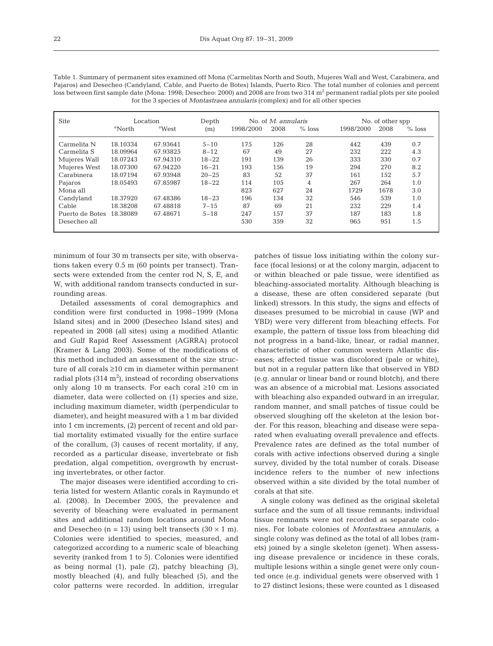| Table 1. Summary of permanent sites examined off Mona (Carmelitas North and South, Mujeres Wall and West, Carabinera, and         |
|-----------------------------------------------------------------------------------------------------------------------------------|
| Pajaros) and Desecheo (Candyland, Cable, and Puerto de Botes) Islands, Puerto Rico. The total number of colonies and percent      |
| loss between first sample date (Mona: 1998; Desecheo: 2000) and 2008 are from two 314 $m2$ permanent radial plots per site pooled |
| for the 3 species of <i>Montastraea annularis</i> (complex) and for all other species                                             |

| <b>Site</b>     | Location           |          | Depth     | No. of <i>M. annularis</i> |      |          | No. of other spp |      |          |
|-----------------|--------------------|----------|-----------|----------------------------|------|----------|------------------|------|----------|
|                 | <sup>o</sup> North | °West    | (m)       | 1998/2000                  | 2008 | $%$ loss | 1998/2000        | 2008 | $%$ loss |
| Carmelita N     | 18.10334           | 67.93641 | $5 - 10$  | 175                        | 126  | 28       | 442              | 439  | 0.7      |
| Carmelita S     | 18.09964           | 67.93825 | $8 - 12$  | 67                         | 49   | 27       | 232              | 222  | 4.3      |
| Mujeres Wall    | 18.07243           | 67.94310 | $18 - 22$ | 191                        | 139  | 26       | 333              | 330  | 0.7      |
| Mujeres West    | 18.07300           | 67.94220 | $16 - 21$ | 193                        | 156  | 19       | 294              | 270  | 8.2      |
| Carabinera      | 18.07194           | 67.93948 | $20 - 25$ | 83                         | 52   | 37       | 161              | 152  | 5.7      |
| Pajaros         | 18.05493           | 67.85987 | $18 - 22$ | 114                        | 105  | 4        | 267              | 264  | 1.0      |
| Mona all        |                    |          |           | 823                        | 627  | 24       | 1729             | 1678 | 3.0      |
| Candyland       | 18.37920           | 67.48386 | $18 - 23$ | 196                        | 134  | 32       | 546              | 539  | 1.0      |
| Cable           | 18.38208           | 67.48818 | $7 - 15$  | 87                         | 69   | 21       | 232              | 229  | 1.4      |
| Puerto de Botes | 18.38089           | 67.48671 | $5 - 18$  | 247                        | 157  | 37       | 187              | 183  | 1.8      |
| Desecheo all    |                    |          |           | 530                        | 359  | 32       | 965              | 951  | 1.5      |

minimum of four 30 m transects per site, with observations taken every 0.5 m (60 points per transect). Transects were extended from the center rod N, S, E, and W, with additional random transects conducted in surrounding areas.

Detailed assessments of coral demographics and condition were first conducted in 1998–1999 (Mona Island sites) and in 2000 (Desecheo Island sites) and repeated in 2008 (all sites) using a modified Atlantic and Gulf Rapid Reef Assessment (AGRRA) protocol (Kramer & Lang 2003). Some of the modifications of this method included an assessment of the size structure of all corals ≥10 cm in diameter within permanent radial plots (314  $\mathrm{m}^{2}$ ), instead of recording observations only along 10 m transects. For each coral ≥10 cm in diameter, data were collected on (1) species and size, including maximum diameter, width (perpendicular to diameter), and height measured with a 1 m bar divided into 1 cm increments, (2) percent of recent and old partial mortality estimated visually for the entire surface of the corallum, (3) causes of recent mortality, if any, recorded as a particular disease, invertebrate or fish predation, algal competition, overgrowth by encrusting invertebrates, or other factor.

The major diseases were identified according to criteria listed for western Atlantic corals in Raymundo et al. (2008). In December 2005, the prevalence and severity of bleaching were evaluated in permanent sites and additional random locations around Mona and Desecheo (n = 13) using belt transects  $(30 \times 1 \text{ m})$ . Colonies were identified to species, measured, and categorized according to a numeric scale of bleaching severity (ranked from 1 to 5). Colonies were identified as being normal (1), pale (2), patchy bleaching (3), mostly bleached (4), and fully bleached (5), and the color patterns were recorded. In addition, irregular

patches of tissue loss initiating within the colony surface (focal lesions) or at the colony margin, adjacent to or within bleached or pale tissue, were identified as bleaching-associated mortality. Although bleaching is a disease, these are often considered separate (but linked) stressors. In this study, the signs and effects of diseases presumed to be microbial in cause (WP and YBD) were very different from bleaching effects. For example, the pattern of tissue loss from bleaching did not progress in a band-like, linear, or radial manner, characteristic of other common western Atlantic diseases; affected tissue was discolored (pale or white), but not in a regular pattern like that observed in YBD (e.g. annular or linear band or round blotch), and there was an absence of a microbial mat. Lesions associated with bleaching also expanded outward in an irregular, random manner, and small patches of tissue could be observed sloughing off the skeleton at the lesion border. For this reason, bleaching and disease were separated when evaluating overall prevalence and effects. Prevalence rates are defined as the total number of corals with active infections observed during a single survey, divided by the total number of corals. Disease incidence refers to the number of new infections observed within a site divided by the total number of corals at that site.

A single colony was defined as the original skeletal surface and the sum of all tissue remnants; individual tissue remnants were not recorded as separate colonies. For lobate colonies of *Montastraea annularis*, a single colony was defined as the total of all lobes (ramets) joined by a single skeleton (genet). When assessing disease prevalence or incidence in these corals, multiple lesions within a single genet were only counted once (e.g. individual genets were observed with 1 to 27 distinct lesions; these were counted as 1 diseased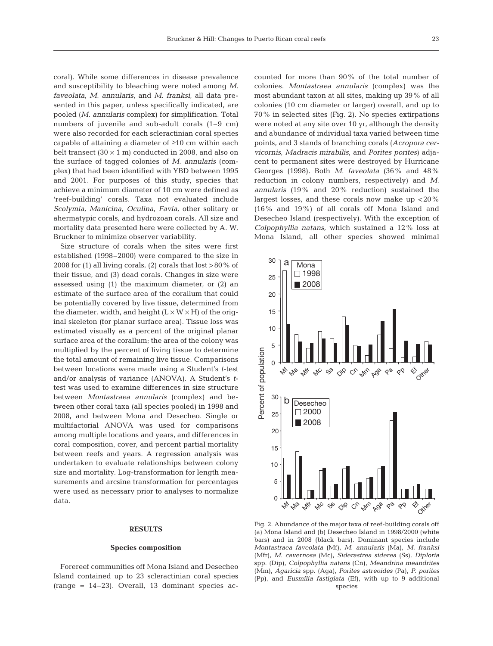coral). While some differences in disease prevalence and susceptibility to bleaching were noted among *M. faveolata, M. annularis*, and *M. franksi*, all data presented in this paper, unless specifically indicated, are pooled (*M. annularis* complex) for simplification. Total numbers of juvenile and sub-adult corals (1–9 cm) were also recorded for each scleractinian coral species capable of attaining a diameter of ≥10 cm within each belt transect  $(30 \times 1 \text{ m})$  conducted in 2008, and also on the surface of tagged colonies of *M. annularis* (complex) that had been identified with YBD between 1995 and 2001. For purposes of this study, species that achieve a minimum diameter of 10 cm were defined as 'reef-building' corals. Taxa not evaluated include *Scolymia, Manicina, Oculina, Favia,* other solitary or ahermatypic corals, and hydrozoan corals. All size and mortality data presented here were collected by A. W. Bruckner to minimize observer variability.

Size structure of corals when the sites were first established (1998–2000) were compared to the size in 2008 for (1) all living corals, (2) corals that lost >80% of their tissue, and (3) dead corals. Changes in size were assessed using (1) the maximum diameter, or (2) an estimate of the surface area of the corallum that could be potentially covered by live tissue, determined from the diameter, width, and height  $(L \times W \times H)$  of the original skeleton (for planar surface area). Tissue loss was estimated visually as a percent of the original planar surface area of the corallum; the area of the colony was multiplied by the percent of living tissue to determine the total amount of remaining live tissue. Comparisons between locations were made using a Student's *t*-test and/or analysis of variance (ANOVA). A Student's *t*test was used to examine differences in size structure between *Montastraea annularis* (complex) and between other coral taxa (all species pooled) in 1998 and 2008, and between Mona and Desecheo. Single or multifactorial ANOVA was used for comparisons among multiple locations and years, and differences in coral composition, cover, and percent partial mortality between reefs and years. A regression analysis was undertaken to evaluate relationships between colony size and mortality. Log-transformation for length measurements and arcsine transformation for percentages were used as necessary prior to analyses to normalize data.

### **RESULTS**

#### **Species composition**

Forereef communities off Mona Island and Desecheo Island contained up to 23 scleractinian coral species (range = 14–23). Overall, 13 dominant species accounted for more than 90% of the total number of colonies. *Montastraea annularis* (complex) was the most abundant taxon at all sites, making up 39% of all colonies (10 cm diameter or larger) overall, and up to 70% in selected sites (Fig. 2). No species extirpations were noted at any site over 10 yr, although the density and abundance of individual taxa varied between time points, and 3 stands of branching corals (*Acropora cervicornis*, *Madracis mirabilis*, and *Porites porites*) adjacent to permanent sites were destroyed by Hurricane Georges (1998). Both *M. faveolata* (36% and 48% reduction in colony numbers, respectively) and *M. annularis* (19% and 20% reduction) sustained the largest losses, and these corals now make up <20% (16% and 19%) of all corals off Mona Island and Desecheo Island (respectively). With the exception of *Colpophyllia natans,* which sustained a 12% loss at Mona Island, all other species showed minimal



Fig. 2. Abundance of the major taxa of reef-building corals off (a) Mona Island and (b) Desecheo Island in 1998/2000 (white bars) and in 2008 (black bars). Dominant species include *Montastraea faveolata* (Mf), *M. annularis* (Ma), *M. franksi* (Mfr), *M. cavernosa* (Mc), *Siderastrea siderea* (Ss), *Diploria* spp. (Dip), *Colpophyllia natans* (Cn), *Meandrina meandrites* (Mm), *Agaricia* spp. (Aga), *Porites astreoides* (Pa), *P. porites* (Pp), and *Eusmilia fastigiata* (Ef), with up to 9 additional species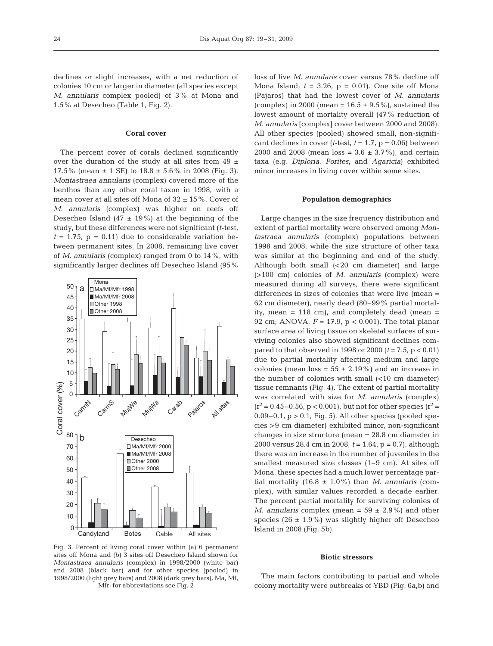declines or slight increases, with a net reduction of colonies 10 cm or larger in diameter (all species except *M. annularis* complex pooled) of 3% at Mona and 1.5% at Desecheo (Table 1, Fig. 2).

#### **Coral cover**

The percent cover of corals declined significantly over the duration of the study at all sites from  $49 \pm$ 17.5% (mean  $\pm$  1 SE) to 18.8  $\pm$  5.6% in 2008 (Fig. 3). *Montastraea annularis* (complex) covered more of the benthos than any other coral taxon in 1998, with a mean cover at all sites off Mona of  $32 \pm 15$ %. Cover of *M. annularis* (complex) was higher on reefs off Desecheo Island (47  $\pm$  19%) at the beginning of the study, but these differences were not significant (*t*-test,  $t = 1.75$ ,  $p = 0.11$ ) due to considerable variation between permanent sites. In 2008, remaining live cover of *M. annularis* (complex) ranged from 0 to 14%, with significantly larger declines off Desecheo Island (95%



Fig. 3. Percent of living coral cover within (a) 6 permanent sites off Mona and (b) 3 sites off Desecheo Island shown for *Montastraea annularis* (complex) in 1998/2000 (white bar) and 2008 (black bar) and for other species (pooled) in 1998/2000 (light grey bars) and 2008 (dark grey bars). Ma, Mf, Mfr: for abbreviations see Fig. 2

loss of live *M. annularis* cover versus 78% decline off Mona Island;  $t = 3.26$ ,  $p = 0.01$ ). One site off Mona (Pajaros) that had the lowest cover of *M. annularis* (complex) in 2000 (mean =  $16.5 \pm 9.5\%$ ), sustained the lowest amount of mortality overall (47% reduction of *M. annularis* [complex] cover between 2000 and 2008). All other species (pooled) showed small, non-significant declines in cover (*t*-test,  $t = 1.7$ ,  $p = 0.06$ ) between 2000 and 2008 (mean loss =  $3.6 \pm 3.7\%$ ), and certain taxa (e.g. *Diploria*, *Porites*, and *Agaricia*) exhibited minor increases in living cover within some sites.

#### **Population demographics**

Large changes in the size frequency distribution and extent of partial mortality were observed among *Montastraea annularis* (complex) populations between 1998 and 2008, while the size structure of other taxa was similar at the beginning and end of the study. Although both small (<20 cm diameter) and large (>100 cm) colonies of *M. annularis* (complex) were measured during all surveys, there were significant differences in sizes of colonies that were live (mean = 62 cm diameter), nearly dead (80–99% partial mortality, mean =  $118$  cm), and completely dead (mean = 92 cm; ANOVA, *F* = 17.9, p < 0.001). The total planar surface area of living tissue on skeletal surfaces of surviving colonies also showed significant declines compared to that observed in 1998 or 2000  $(t = 7.5, p < 0.01)$ due to partial mortality affecting medium and large colonies (mean loss =  $55 \pm 2.19\%$ ) and an increase in the number of colonies with small (<10 cm diameter) tissue remnants (Fig. 4). The extent of partial mortality was correlated with size for *M. annularis* (complex)  $(r^2 = 0.45 - 0.56, p < 0.001)$ , but not for other species  $(r^2 =$  $0.09-0.1$ ,  $p > 0.1$ ; Fig. 5). All other species (pooled species >9 cm diameter) exhibited minor, non-significant changes in size structure (mean = 28.8 cm diameter in 2000 versus 28.4 cm in 2008, *t* = 1.64, p = 0.7), although there was an increase in the number of juveniles in the smallest measured size classes (1–9 cm). At sites off Mona, these species had a much lower percentage partial mortality  $(16.8 \pm 1.0\%)$  than *M. annularis* (complex), with similar values recorded a decade earlier. The percent partial mortality for surviving colonies of *M. annularis* complex (mean =  $59 \pm 2.9\%$ ) and other species (26  $\pm$  1.9%) was slightly higher off Desecheo Island in 2008 (Fig. 5b).

#### **Biotic stressors**

The main factors contributing to partial and whole colony mortality were outbreaks of YBD (Fig. 6a,b) and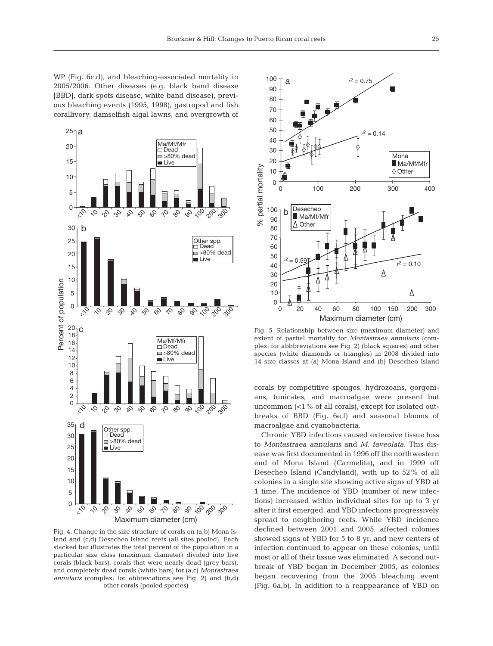WP (Fig. 6c,d), and bleaching-associated mortality in 2005/2006. Other diseases (e.g. black band disease [BBD], dark spots disease, white band disease), previous bleaching events (1995, 1998), gastropod and fish corallivory, damselfish algal lawns, and overgrowth of



Fig. 4. Change in the size structure of corals on (a,b) Mona Island and (c,d) Desecheo Island reefs (all sites pooled). Each stacked bar illustrates the total percent of the population in a particular size class (maximum diameter) divided into live corals (black bars), corals that were nearly dead (grey bars), and completely dead corals (white bars) for (a,c) *Montastraea annularis* (complex; for abbreviations see Fig. 2) and (b,d) other corals (pooled species)



Fig. 5. Relationship between size (maximum diameter) and extent of partial mortality for *Montastraea annularis* (complex; for abbbreviations see Fig. 2) (black squares) and other species (white diamonds or triangles) in 2008 divided into 14 size classes at (a) Mona Island and (b) Desecheo Island

corals by competitive sponges, hydrozoans, gorgonians, tunicates, and macroalgae were present but uncommon (<1% of all corals), except for isolated outbreaks of BBD (Fig. 6e,f) and seasonal blooms of macroalgae and cyanobacteria.

Chronic YBD infections caused extensive tissue loss to *Montastraea annularis* and *M. faveolata*. This disease was first documented in 1996 off the northwestern end of Mona Island (Carmelita), and in 1999 off Desecheo Island (Candyland), with up to 52% of all colonies in a single site showing active signs of YBD at 1 time. The incidence of YBD (number of new infections) increased within individual sites for up to 3 yr after it first emerged, and YBD infections progressively spread to neighboring reefs. While YBD incidence declined between 2001 and 2005, affected colonies showed signs of YBD for 5 to 8 yr, and new centers of infection continued to appear on these colonies, until most or all of their tissue was eliminated. A second outbreak of YBD began in December 2005, as colonies began recovering from the 2005 bleaching event (Fig. 6a,b). In addition to a reappearance of YBD on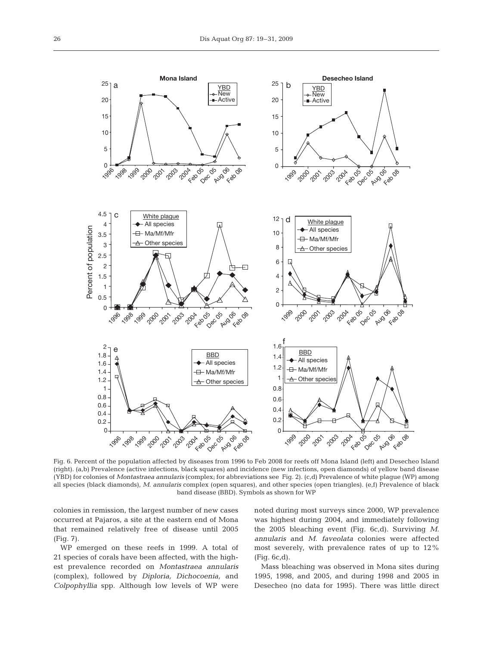

Fig. 6. Percent of the population affected by diseases from 1996 to Feb 2008 for reefs off Mona Island (left) and Desecheo Island (right). (a,b) Prevalence (active infections, black squares) and incidence (new infections, open diamonds) of yellow band disease (YBD) for colonies of *Montastraea annularis* (complex; for abbreviations see Fig. 2). (c,d) Prevalence of white plague (WP) among all species (black diamonds), *M. annularis* complex (open squares), and other species (open triangles). (e,f) Prevalence of black band disease (BBD). Symbols as shown for WP

colonies in remission, the largest number of new cases occurred at Pajaros, a site at the eastern end of Mona that remained relatively free of disease until 2005 (Fig. 7).

WP emerged on these reefs in 1999. A total of 21 species of corals have been affected, with the highest prevalence recorded on *Montastraea annularis* (complex), followed by *Diploria, Dichocoenia,* and *Colpophyllia* spp. Although low levels of WP were noted during most surveys since 2000, WP prevalence was highest during 2004, and immediately following the 2005 bleaching event (Fig. 6c,d). Surviving *M. annularis* and *M. faveolata* colonies were affected most severely, with prevalence rates of up to 12% (Fig. 6c,d).

Mass bleaching was observed in Mona sites during 1995, 1998, and 2005, and during 1998 and 2005 in Desecheo (no data for 1995). There was little direct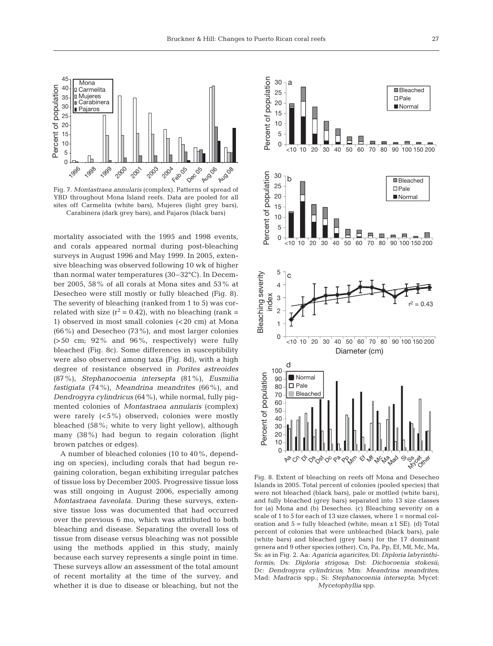

Fig. 7. *Montastraea annularis* (complex). Patterns of spread of YBD throughout Mona Island reefs. Data are pooled for all sites off Carmelita (white bars), Mujeres (light grey bars), Carabinera (dark grey bars), and Pajaros (black bars)

mortality associated with the 1995 and 1998 events, and corals appeared normal during post-bleaching surveys in August 1996 and May 1999. In 2005, extensive bleaching was observed following 10 wk of higher than normal water temperatures (30–32°C). In December 2005, 58% of all corals at Mona sites and 53% at Desecheo were still mostly or fully bleached (Fig. 8). The severity of bleaching (ranked from 1 to 5) was correlated with size  $(r^2 = 0.42)$ , with no bleaching (rank = 1) observed in most small colonies (<20 cm) at Mona (66%) and Desecheo (73%), and most larger colonies (>50 cm; 92% and 96%, respectively) were fully bleached (Fig. 8c). Some differences in susceptibility were also observed among taxa (Fig. 8d), with a high degree of resistance observed in *Porites astreoides* (87%), *Stephanocoenia intersepta* (81%), *Eusmilia fastigiata* (74%), *Meandrina meandrites* (66%), and *Dendrogyra cylindricus* (64%), while normal, fully pigmented colonies of *Montastraea annularis* (complex) were rarely (<5%) observed; colonies were mostly bleached (58%; white to very light yellow), although many (38%) had begun to regain coloration (light brown patches or edges).

A number of bleached colonies (10 to 40%, depending on species), including corals that had begun regaining coloration, began exhibiting irregular patches of tissue loss by December 2005. Progressive tissue loss was still ongoing in August 2006, especially among *Montastraea faveolata*. During these surveys, extensive tissue loss was documented that had occurred over the previous 6 mo, which was attributed to both bleaching and disease. Separating the overall loss of tissue from disease versus bleaching was not possible using the methods applied in this study, mainly because each survey represents a single point in time. These surveys allow an assessment of the total amount of recent mortality at the time of the survey, and whether it is due to disease or bleaching, but not the



Fig. 8. Extent of bleaching on reefs off Mona and Desecheo Islands in 2005. Total percent of colonies (pooled species) that were not bleached (black bars), pale or mottled (white bars), and fully bleached (grey bars) separated into 13 size classes for (a) Mona and (b) Desecheo. (c) Bleaching severity on a scale of 1 to 5 for each of 13 size classes, where 1 = normal coloration and  $5 =$  fully bleached (white; mean  $\pm 1$  SE). (d) Total percent of colonies that were unbleached (black bars), pale (white bars) and bleached (grey bars) for the 17 dominant genera and 9 other species (other). Cn, Pa, Pp, Ef, Mf, Mc, Ma, Ss: as in Fig. 2. Aa: *Agaricia agaricites*; Dl: *Diploria labyrinthiformis*; Ds: *Diploria strigosa*; Dst: *Dichocoenia stokesii*; Dc: *Dendrogyra cylindricus*; Mm: *Meandrina meandrites*; Mad: *Madracis* spp.; Si: *Stephanocoenia intersepta*; Mycet: *Mycetophyllia* spp.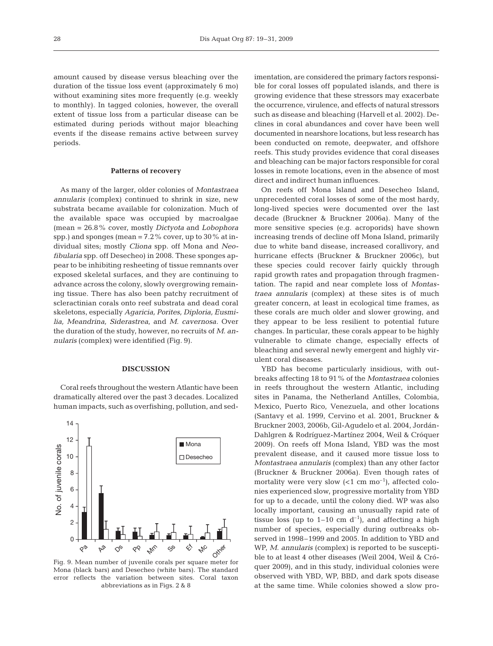amount caused by disease versus bleaching over the duration of the tissue loss event (approximately 6 mo) without examining sites more frequently (e.g. weekly to monthly). In tagged colonies, however, the overall extent of tissue loss from a particular disease can be estimated during periods without major bleaching events if the disease remains active between survey periods.

## **Patterns of recovery**

As many of the larger, older colonies of *Montastraea annularis* (complex) continued to shrink in size, new substrata became available for colonization. Much of the available space was occupied by macroalgae (mean = 26.8% cover, mostly *Dictyota* and *Lobophora* spp.) and sponges (mean  $= 7.2\%$  cover, up to 30 % at individual sites; mostly *Cliona* spp. off Mona and *Neofibularia* spp. off Desecheo) in 2008. These sponges appear to be inhibiting resheeting of tissue remnants over exposed skeletal surfaces, and they are continuing to advance across the colony, slowly overgrowing remaining tissue. There has also been patchy recruitment of scleractinian corals onto reef substrata and dead coral skeletons, especially *Agaricia, Porites, Diploria, Eusmilia, Meandrina, Siderastrea*, and *M. cavernosa.* Over the duration of the study, however, no recruits of *M. annularis* (complex) were identified (Fig. 9).

#### **DISCUSSION**

Coral reefs throughout the western Atlantic have been dramatically altered over the past 3 decades. Localized human impacts, such as overfishing, pollution, and sed-



Fig. 9. Mean number of juvenile corals per square meter for Mona (black bars) and Desecheo (white bars). The standard error reflects the variation between sites. Coral taxon abbreviations as in Figs. 2 & 8

imentation, are considered the primary factors responsible for coral losses off populated islands, and there is growing evidence that these stressors may exacerbate the occurrence, virulence, and effects of natural stressors such as disease and bleaching (Harvell et al. 2002). Declines in coral abundances and cover have been well documented in nearshore locations, but less research has been conducted on remote, deepwater, and offshore reefs. This study provides evidence that coral diseases and bleaching can be major factors responsible for coral losses in remote locations, even in the absence of most direct and indirect human influences.

On reefs off Mona Island and Desecheo Island, unprecedented coral losses of some of the most hardy, long-lived species were documented over the last decade (Bruckner & Bruckner 2006a). Many of the more sensitive species (e.g. acroporids) have shown increasing trends of decline off Mona Island, primarily due to white band disease, increased corallivory, and hurricane effects (Bruckner & Bruckner 2006c), but these species could recover fairly quickly through rapid growth rates and propagation through fragmentation. The rapid and near complete loss of *Montastraea annularis* (complex) at these sites is of much greater concern, at least in ecological time frames, as these corals are much older and slower growing, and they appear to be less resilient to potential future changes. In particular, these corals appear to be highly vulnerable to climate change, especially effects of bleaching and several newly emergent and highly virulent coral diseases.

YBD has become particularly insidious, with outbreaks affecting 18 to 91% of the *Montastraea* colonies in reefs throughout the western Atlantic, including sites in Panama, the Netherland Antilles, Colombia, Mexico, Puerto Rico, Venezuela, and other locations (Santavy et al. 1999, Cervino et al. 2001, Bruckner & Bruckner 2003, 2006b, Gil-Agudelo et al. 2004, Jordán-Dahlgren & Rodríguez-Martínez 2004, Weil & Cróquer 2009). On reefs off Mona Island, YBD was the most prevalent disease, and it caused more tissue loss to *Montastraea annularis* (complex) than any other factor (Bruckner & Bruckner 2006a). Even though rates of mortality were very slow  $( $1 \text{ cm} \text{ mo}^{-1}$ ), affected colo$ nies experienced slow, progressive mortality from YBD for up to a decade, until the colony died. WP was also locally important, causing an unusually rapid rate of tissue loss (up to  $1-10$  cm  $d^{-1}$ ), and affecting a high number of species, especially during outbreaks observed in 1998–1999 and 2005. In addition to YBD and WP, *M. annularis* (complex) is reported to be susceptible to at least 4 other diseases (Weil 2004, Weil & Cróquer 2009), and in this study, individual colonies were observed with YBD, WP, BBD, and dark spots disease at the same time. While colonies showed a slow pro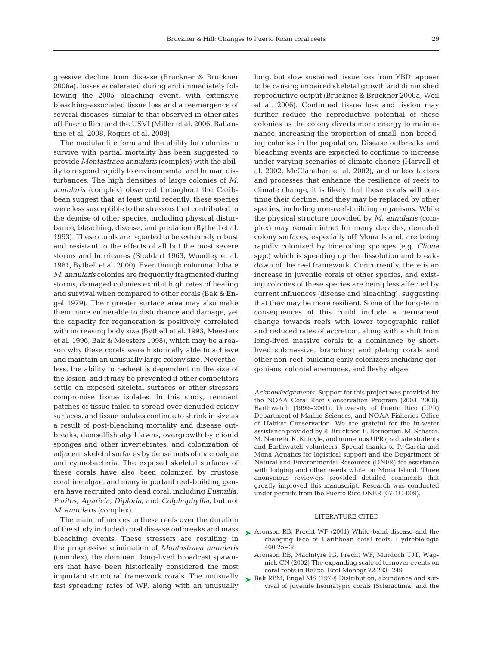gressive decline from disease (Bruckner & Bruckner 2006a), losses accelerated during and immediately following the 2005 bleaching event, with extensive bleaching-associated tissue loss and a reemergence of several diseases, similar to that observed in other sites off Puerto Rico and the USVI (Miller et al. 2006, Ballantine et al. 2008, Rogers et al. 2008).

The modular life form and the ability for colonies to survive with partial mortality has been suggested to provide *Montastraea annularis* (complex) with the ability to respond rapidly to environmental and human disturbances. The high densities of large colonies of *M. annularis* (complex) observed throughout the Caribbean suggest that, at least until recently, these species were less susceptible to the stressors that contributed to the demise of other species, including physical disturbance, bleaching, disease, and predation (Bythell et al. 1993). These corals are reported to be extremely robust and resistant to the effects of all but the most severe storms and hurricanes (Stoddart 1963, Woodley et al. 1981, Bythell et al. 2000). Even though columnar lobate *M. annularis* colonies are frequently fragmented during storms, damaged colonies exhibit high rates of healing and survival when compared to other corals (Bak & Engel 1979). Their greater surface area may also make them more vulnerable to disturbance and damage, yet the capacity for regeneration is positively correlated with increasing body size (Bythell et al. 1993, Meesters et al. 1996, Bak & Meesters 1998), which may be a reason why these corals were historically able to achieve and maintain an unusually large colony size. Nevertheless, the ability to resheet is dependent on the size of the lesion, and it may be prevented if other competitors settle on exposed skeletal surfaces or other stressors compromise tissue isolates. In this study, remnant patches of tissue failed to spread over denuded colony surfaces, and tissue isolates continue to shrink in size as a result of post-bleaching mortality and disease outbreaks, damselfish algal lawns, overgrowth by clionid sponges and other invertebrates, and colonization of adjacent skeletal surfaces by dense mats of macroalgae and cyanobacteria. The exposed skeletal surfaces of these corals have also been colonized by crustose coralline algae, and many important reef-building genera have recruited onto dead coral, including *Eusmilia, Porites, Agaricia, Diploria*, and *Colphophyllia,* but not *M. annularis* (complex).

The main influences to these reefs over the duration of the study included coral disease outbreaks and mass bleaching events. These stressors are resulting in the progressive elimination of *Montastraea annularis* (complex), the dominant long-lived broadcast spawners that have been historically considered the most important structural framework corals. The unusually fast spreading rates of WP, along with an unusually

long, but slow sustained tissue loss from YBD, appear to be causing impaired skeletal growth and diminished reproductive output (Bruckner & Bruckner 2006a, Weil et al. 2006). Continued tissue loss and fission may further reduce the reproductive potential of these colonies as the colony diverts more energy to maintenance, increasing the proportion of small, non-breeding colonies in the population. Disease outbreaks and bleaching events are expected to continue to increase under varying scenarios of climate change (Harvell et al. 2002, McClanahan et al. 2002), and unless factors and processes that enhance the resilience of reefs to climate change, it is likely that these corals will continue their decline, and they may be replaced by other species, including non-reef-building organisms. While the physical structure provided by *M. annularis* (complex) may remain intact for many decades, denuded colony surfaces, especially off Mona Island, are being rapidly colonized by bioeroding sponges (e.g. *Cliona* spp.) which is speeding up the dissolution and breakdown of the reef framework. Concurrently, there is an increase in juvenile corals of other species, and existing colonies of these species are being less affected by current influences (disease and bleaching), suggesting that they may be more resilient. Some of the long-term consequences of this could include a permanent change towards reefs with lower topographic relief and reduced rates of accretion, along with a shift from long-lived massive corals to a dominance by shortlived submassive, branching and plating corals and other non-reef-building early colonizers including gorgonians, colonial anemones, and fleshy algae.

*Acknowledgements.* Support for this project was provided by the NOAA Coral Reef Conservation Program (2003–2008), Earthwatch (1999–2001), University of Puerto Rico (UPR) Department of Marine Sciences, and NOAA Fisheries Office of Habitat Conservation. We are grateful for the in-water assistance provided by R. Bruckner, E. Borneman, M. Scharer, M. Nemeth, K. Kilfoyle, and numerous UPR graduate students and Earthwatch volunteers. Special thanks to P. Garcia and Mona Aquatics for logistical support and the Department of Natural and Environmental Resources (DNER) for assistance with lodging and other needs while on Mona Island. Three anonymous reviewers provided detailed comments that greatly improved this manuscript. Research was conducted under permits from the Puerto Rico DNER (07-1C-009).

## LITERATURE CITED

- ▶ Aronson RB, Precht WF (2001) White-band disease and the changing face of Caribbean coral reefs. Hydrobiologia 460:25–38
	- Aronson RB, MacIntyre IG, Precht WF, Murdoch TJT, Wapnick CN (2002) The expanding scale of turnover events on coral reefs in Belize. Ecol Monogr 72:233–249
- ▶ Bak RPM, Engel MS (1979) Distribution, abundance and survival of juvenile hermatypic corals (Scleractinia) and the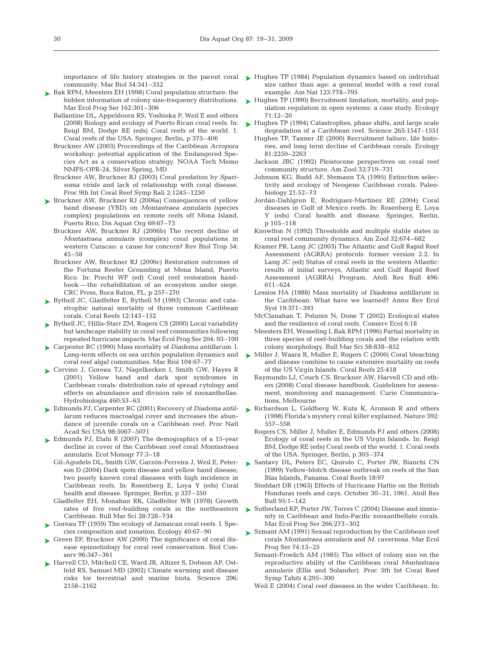community. Mar Biol 54:341–352

- ► Bak RPM, Meesters EH (1998) Coral population structure: the hidden information of colony size-frequency distributions. Mar Ecol Prog Ser 162:301–306
	- Ballantine DL, Appeldoorn RS, Yoshioka P, Weil E and others (2008) Biology and ecology of Puerto Rican coral reefs. In: Reigl BM, Dodge RE (eds) Coral reefs of the world. 1. Coral reefs of the USA. Springer, Berlin, p 375–406
	- Bruckner AW (2003) Proceedings of the Caribbean *Acropora* workshop: potential application of the Endangered Species Act as a conservation strategy. NOAA Tech Memo NMFS-OPR-24, Silver Spring, MD
	- Bruckner AW, Bruckner RJ (2003) Coral predation by *Sparisoma viride* and lack of relationship with coral disease. Proc 9th Int Coral Reef Symp Bali 2:1245–1250
- ► Bruckner AW, Bruckner RJ (2006a) Consequences of yellow band disease (YBD) on *Montastraea annularis* (species complex) populations on remote reefs off Mona Island, Puerto Rico. Dis Aquat Org 69:67–73
	- Bruckner AW, Bruckner RJ (2006b) The recent decline of *Montastraea annularis* (complex) coral populations in western Curacao: a cause for concern? Rev Biol Trop 54:  $45 - 58$
	- Bruckner AW, Bruckner RJ (2006c) Restoration outcomes of the Fortuna Reefer Grounding at Mona Island, Puerto Rico. In: Precht WF (ed) Coral reef restoration handbook — the rehabilitation of an ecosystem under siege. CRC Press, Boca Raton, FL, p 257–270
- ► Bythell JC, Gladfelter E, Bythell M (1993) Chronic and catastrophic natural mortality of three common Caribbean corals. Coral Reefs 12:143–152
- ► Bythell JC, Hillis-Starr ZM, Rogers CS (2000) Local variability but landscape stability in coral reef communities following repeated hurricane impacts. Mar Ecol Prog Ser 204: 93–100
- Carpenter RC (1990) Mass mortality of *Diadema antillarum.* I. ➤ coral reef algal communities. Mar Biol 104:67–77
- ► Cervino J, Goreau TJ, Nagelkerken I, Smith GW, Hayes R (2001) Yellow band and dark spot syndromes in Caribbean corals: distribution rate of spread cytology and effects on abundance and division rate of zooxanthellae. Hydrobiologia 460:53–63
- Edmunds PJ, Carpenter RC (2001) Recovery of *Diadema antil-*➤ *larum* reduces macroalgal cover and increases the abundance of juvenile corals on a Caribbean reef. Proc Natl Acad Sci USA 98:5067–5071
- ► Edmunds PJ, Elahi R (2007) The demographics of a 15-year decline in cover of the Caribbean reef coral *Montastraea annularis.* Ecol Monogr 77:3–18
	- Gil-Agudelo DL, Smith GW, Garzón-Ferreira J, Weil E, Peterson D (2004) Dark spots disease and yellow band disease, two poorly known coral diseases with high incidence in Caribbean reefs. In: Rosenberg E, Loya Y (eds) Coral health and disease. Springer, Berlin, p 337–350
	- Gladfelter EH, Monahan RK, Gladfelter WB (1978) Growth rates of five reef-building corals in the northeastern Caribbean. Bull Mar Sci 28:728–734
- ► Goreau TF (1959) The ecology of Jamaican coral reefs. I. Species composition and zonation. Ecology 40:67–90
- ► Green EP, Bruckner AW (2000) The significance of coral disease epizootiology for coral reef conservation. Biol Conserv 96:347–361
- ▶ Harvell CD, Mitchell CE, Ward JR, Altizer S, Dobson AP, Ostfeld RS, Samuel MD (2002) Climate warming and disease risks for terrestrial and marine biota. Science 296: 2158–2162
- importance of life history strategies in the parent coral Hughes TP (1984) Population dynamics based on individual ➤ size rather than age: a general model with a reef coral example. Am Nat 123:778–795
	- ► Hughes TP (1990) Recruitment limitation, mortality, and population regulation in open systems: a case study. Ecology 71:12–20
	- ► Hughes TP (1994) Catastrophes, phase shifts, and large scale degradation of a Caribbean reef. Science 265:1547–1551
		- Hughes TP, Tanner JE (2000) Recruitment failure, life histories, and long term decline of Caribbean corals. Ecology 81:2250–2263
		- Jackson JBC (1992) Pleistocene perspectives on coral reef community structure. Am Zool 32:719–731
		- Johnson KG, Budd AF, Stemann TA (1995) Extinction selectivity and ecology of Neogene Caribbean corals. Paleobiology 21:52–73
		- Jordán-Dahlgren E, Rodríguez-Martínez RE (2004) Coral diseases in Gulf of Mexico reefs. In: Rosenberg E, Loya Y (eds) Coral health and disease. Springer, Berlin, p 105–118
		- Knowlton N (1992) Thresholds and multiple stable states in coral reef community dynamics. Am Zool 32:674–682
		- Kramer PR, Lang JC (2003) The Atlantic and Gulf Rapid Reef Assessment (AGRRA) protocols: former version 2.2. In Lang JC (ed) Status of coral reefs in the western Atlantic: results of initial surveys, Atlantic and Gulf Rapid Reef Assessment (AGRRA) Program. Atoll Res Bull 496: 611–624
		- Lessios HA (1988) Mass mortality of *Diadema antillarum* in the Caribbean: What have we learned? Annu Rev Ecol Syst 19:371–393
		- McClanahan T, Polunin N, Done T (2002) Ecological states and the resilience of coral reefs. Conserv Ecol 6:18
		- Meesters EH, Wesseling I, Bak RPM (1996) Partial mortality in three species of reef-building corals and the relation with colony morphology. Bull Mar Sci 58:838–852
- Long-term effects on sea urchin population dynamics and  $\longrightarrow$  Miller J, Waara R, Muller E, Rogers C (2006) Coral bleaching and disease combine to cause extensive mortality on reefs of the US Virgin Islands. Coral Reefs 25:418
	- Raymundo LJ, Couch CS, Bruckner AW, Harvell CD and others (2008) Coral disease handbook. Guidelines for assessment, monitoring and management. Curie Communications, Melbourne
	- ▶ Richardson L, Goldberg W, Kuta K, Aronson R and others (1998) Florida's mystery coral killer explained. Nature 392: 557–558
		- Rogers CS, Miller J, Muller E, Edmunds PJ and others (2008) Ecology of coral reefs in the US Virgin Islands. In: Reigl BM, Dodge RE (eds) Coral reefs of the world. 1. Coral reefs of the USA. Springer, Berlin, p 303–374
	- ► Santavy DL, Peters EC, Quirolo C, Porter JW, Bianchi CN (1999) Yellow-blotch disease outbreak on reefs of the San Blas Islands, Panama. Coral Reefs 18:97
		- Stoddart DR (1963) Effects of Hurricane Hattie on the British Honduras reefs and cays, October 30–31, 1961. Atoll Res Bull 95:1–142
	- ► Sutherland KP, Porter JW, Torres C (2004) Disease and immunity in Caribbean and Indo-Pacific zooxanthellate corals. Mar Ecol Prog Ser 266:273–302
	- ► Szmant AM (1991) Sexual reproduction by the Caribbean reef corals *Montastraea annularis* and *M. cavernosa.* Mar Ecol Prog Ser 74:13–25
		- Szmant-Froelich AM (1985) The effect of colony size on the reproductive ability of the Caribbean coral *Montastraea annularis* (Ellis and Solander). Proc 5th Int Coral Reef Symp Tahiti 4:295–300
		- Weil E (2004) Coral reef diseases in the wider Caribbean. In: